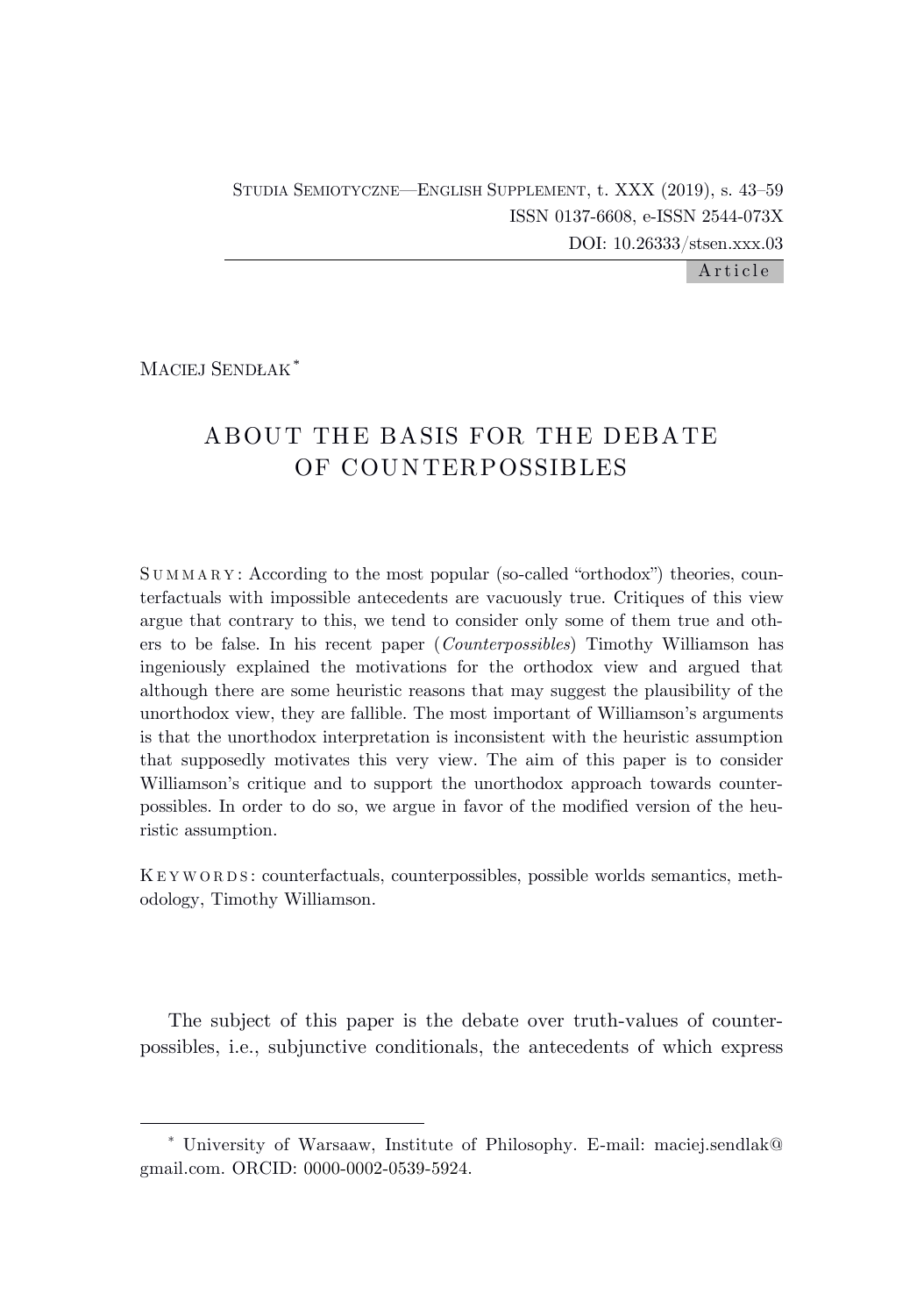Article

MACIEJ SENDŁAK\*

# ABOUT THE BASIS FOR THE DEBATE OF COUNTERPOSSIBLES

SUMMARY: According to the most popular (so-called "orthodox") theories, counterfactuals with impossible antecedents are vacuously true. Critiques of this view argue that contrary to this, we tend to consider only some of them true and others to be false. In his recent paper (*Counterpossibles*) Timothy Williamson has ingeniously explained the motivations for the orthodox view and argued that although there are some heuristic reasons that may suggest the plausibility of the unorthodox view, they are fallible. The most important of Williamson's arguments is that the unorthodox interpretation is inconsistent with the heuristic assumption that supposedly motivates this very view. The aim of this paper is to consider Williamson's critique and to support the unorthodox approach towards counterpossibles. In order to do so, we argue in favor of the modified version of the heuristic assumption.

K E Y W O R D S : counterfactuals, counterpossibles, possible worlds semantics, methodology, Timothy Williamson.

The subject of this paper is the debate over truth-values of counterpossibles, i.e., subjunctive conditionals, the antecedents of which express

<sup>\*</sup> University of Warsaaw, Institute of Philosophy. E-mail: maciej.sendlak@ gmail.com. ORCID: 0000-0002-0539-5924.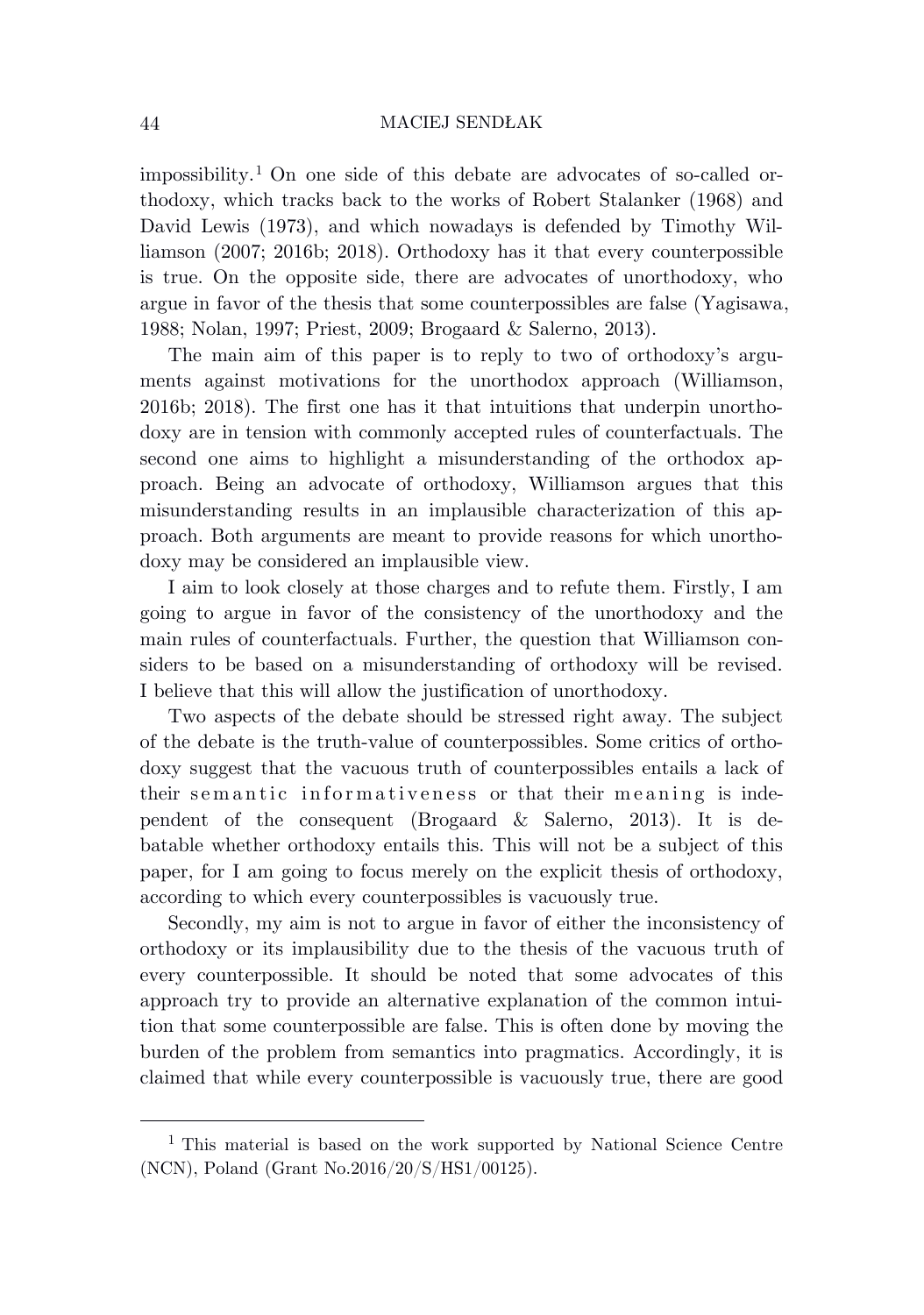impossibility.<sup>1</sup> On one side of this debate are advocates of so-called orthodoxy, which tracks back to the works of Robert Stalanker (1968) and David Lewis (1973), and which nowadays is defended by Timothy Williamson (2007; 2016b; 2018). Orthodoxy has it that every counterpossible is true. On the opposite side, there are advocates of unorthodoxy, who argue in favor of the thesis that some counterpossibles are false (Yagisawa, 1988; Nolan, 1997; Priest, 2009; Brogaard & Salerno, 2013).

The main aim of this paper is to reply to two of orthodoxy's arguments against motivations for the unorthodox approach (Williamson, 2016b; 2018). The first one has it that intuitions that underpin unorthodoxy are in tension with commonly accepted rules of counterfactuals. The second one aims to highlight a misunderstanding of the orthodox approach. Being an advocate of orthodoxy, Williamson argues that this misunderstanding results in an implausible characterization of this approach. Both arguments are meant to provide reasons for which unorthodoxy may be considered an implausible view.

I aim to look closely at those charges and to refute them. Firstly, I am going to argue in favor of the consistency of the unorthodoxy and the main rules of counterfactuals. Further, the question that Williamson considers to be based on a misunderstanding of orthodoxy will be revised. I believe that this will allow the justification of unorthodoxy.

Two aspects of the debate should be stressed right away. The subject of the debate is the truth-value of counterpossibles. Some critics of orthodoxy suggest that the vacuous truth of counterpossibles entails a lack of their semantic informativeness or that their meaning is independent of the consequent (Brogaard & Salerno, 2013). It is debatable whether orthodoxy entails this. This will not be a subject of this paper, for I am going to focus merely on the explicit thesis of orthodoxy, according to which every counterpossibles is vacuously true.

Secondly, my aim is not to argue in favor of either the inconsistency of orthodoxy or its implausibility due to the thesis of the vacuous truth of every counterpossible. It should be noted that some advocates of this approach try to provide an alternative explanation of the common intuition that some counterpossible are false. This is often done by moving the burden of the problem from semantics into pragmatics. Accordingly, it is claimed that while every counterpossible is vacuously true, there are good

<sup>1</sup> This material is based on the work supported by National Science Centre (NCN), Poland (Grant No.2016/20/S/HS1/00125).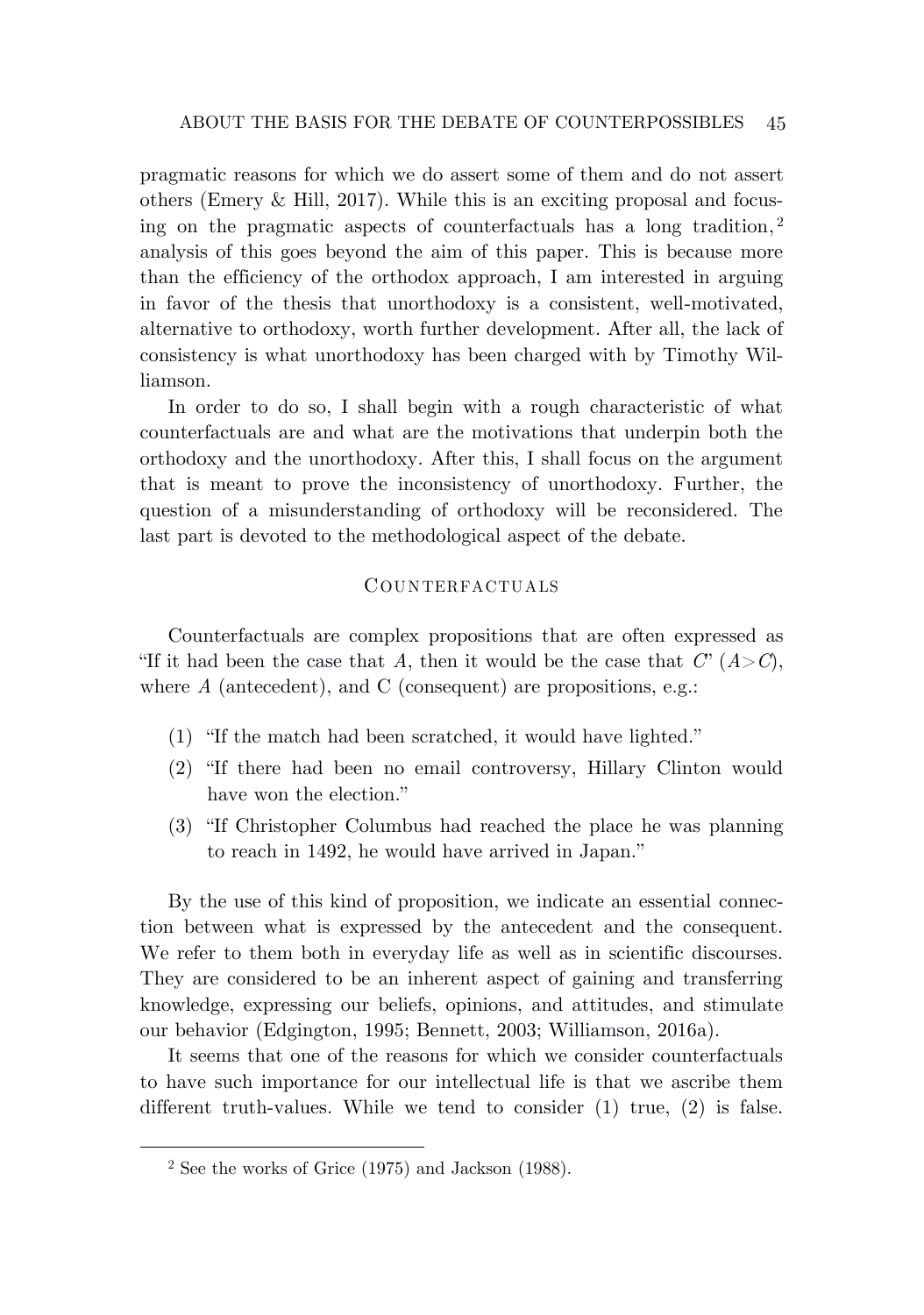pragmatic reasons for which we do assert some of them and do not assert others (Emery  $\&$  Hill, 2017). While this is an exciting proposal and focusing on the pragmatic aspects of counterfactuals has a long tradition, 2 analysis of this goes beyond the aim of this paper. This is because more than the efficiency of the orthodox approach, I am interested in arguing in favor of the thesis that unorthodoxy is a consistent, well-motivated, alternative to orthodoxy, worth further development. After all, the lack of consistency is what unorthodoxy has been charged with by Timothy Williamson.

In order to do so, I shall begin with a rough characteristic of what counterfactuals are and what are the motivations that underpin both the orthodoxy and the unorthodoxy. After this, I shall focus on the argument that is meant to prove the inconsistency of unorthodoxy. Further, the question of a misunderstanding of orthodoxy will be reconsidered. The last part is devoted to the methodological aspect of the debate.

## COUNTERFACTUALS

Counterfactuals are complex propositions that are often expressed as "If it had been the case that *A*, then it would be the case that  $C'(A>C)$ , where A (antecedent), and C (consequent) are propositions, e.g.:

- (1) "If the match had been scratched, it would have lighted."
- (2) "If there had been no email controversy, Hillary Clinton would have won the election."
- (3) "If Christopher Columbus had reached the place he was planning to reach in 1492, he would have arrived in Japan."

By the use of this kind of proposition, we indicate an essential connection between what is expressed by the antecedent and the consequent. We refer to them both in everyday life as well as in scientific discourses. They are considered to be an inherent aspect of gaining and transferring knowledge, expressing our beliefs, opinions, and attitudes, and stimulate our behavior (Edgington, 1995; Bennett, 2003; Williamson, 2016a).

It seems that one of the reasons for which we consider counterfactuals to have such importance for our intellectual life is that we ascribe them different truth-values. While we tend to consider (1) true, (2) is false.

<sup>2</sup> See the works of Grice (1975) and Jackson (1988).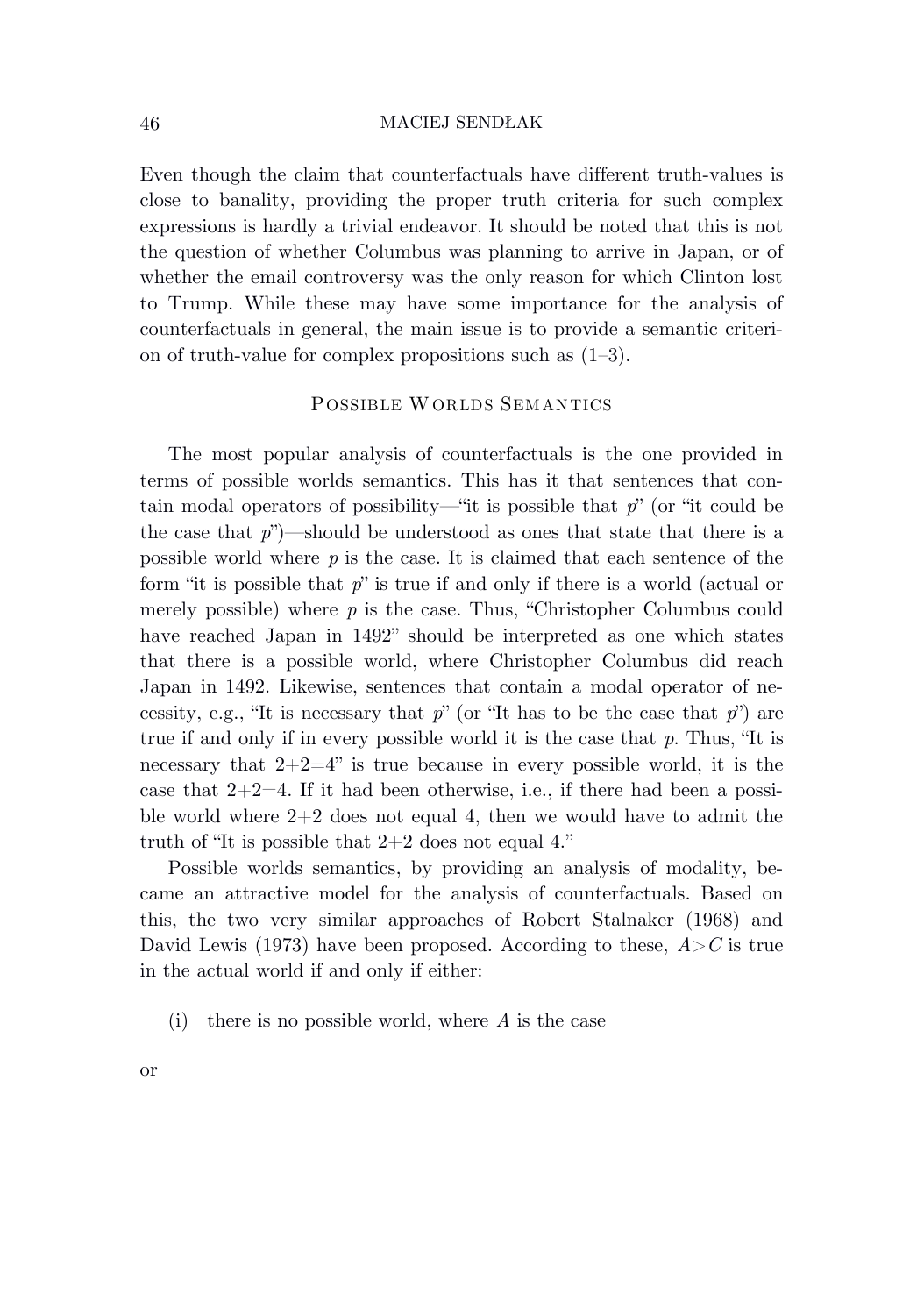Even though the claim that counterfactuals have different truth-values is close to banality, providing the proper truth criteria for such complex expressions is hardly a trivial endeavor. It should be noted that this is not the question of whether Columbus was planning to arrive in Japan, or of whether the email controversy was the only reason for which Clinton lost to Trump. While these may have some importance for the analysis of counterfactuals in general, the main issue is to provide a semantic criterion of truth-value for complex propositions such as (1–3).

## POSSIBLE WORLDS SEMANTICS

The most popular analysis of counterfactuals is the one provided in terms of possible worlds semantics. This has it that sentences that contain modal operators of possibility—"it is possible that *p*" (or "it could be the case that  $p''$ )—should be understood as ones that state that there is a possible world where *p* is the case. It is claimed that each sentence of the form "it is possible that *p*" is true if and only if there is a world (actual or merely possible) where  $p$  is the case. Thus, "Christopher Columbus could have reached Japan in 1492" should be interpreted as one which states that there is a possible world, where Christopher Columbus did reach Japan in 1492. Likewise, sentences that contain a modal operator of necessity, e.g., "It is necessary that  $p$ " (or "It has to be the case that  $p$ ") are true if and only if in every possible world it is the case that *p*. Thus, "It is necessary that  $2+2=4$ " is true because in every possible world, it is the case that  $2+2=4$ . If it had been otherwise, i.e., if there had been a possible world where  $2+2$  does not equal 4, then we would have to admit the truth of "It is possible that  $2+2$  does not equal 4."

Possible worlds semantics, by providing an analysis of modality, became an attractive model for the analysis of counterfactuals. Based on this, the two very similar approaches of Robert Stalnaker (1968) and David Lewis (1973) have been proposed. According to these,  $A > C$  is true in the actual world if and only if either:

(i) there is no possible world, where *A* is the case

or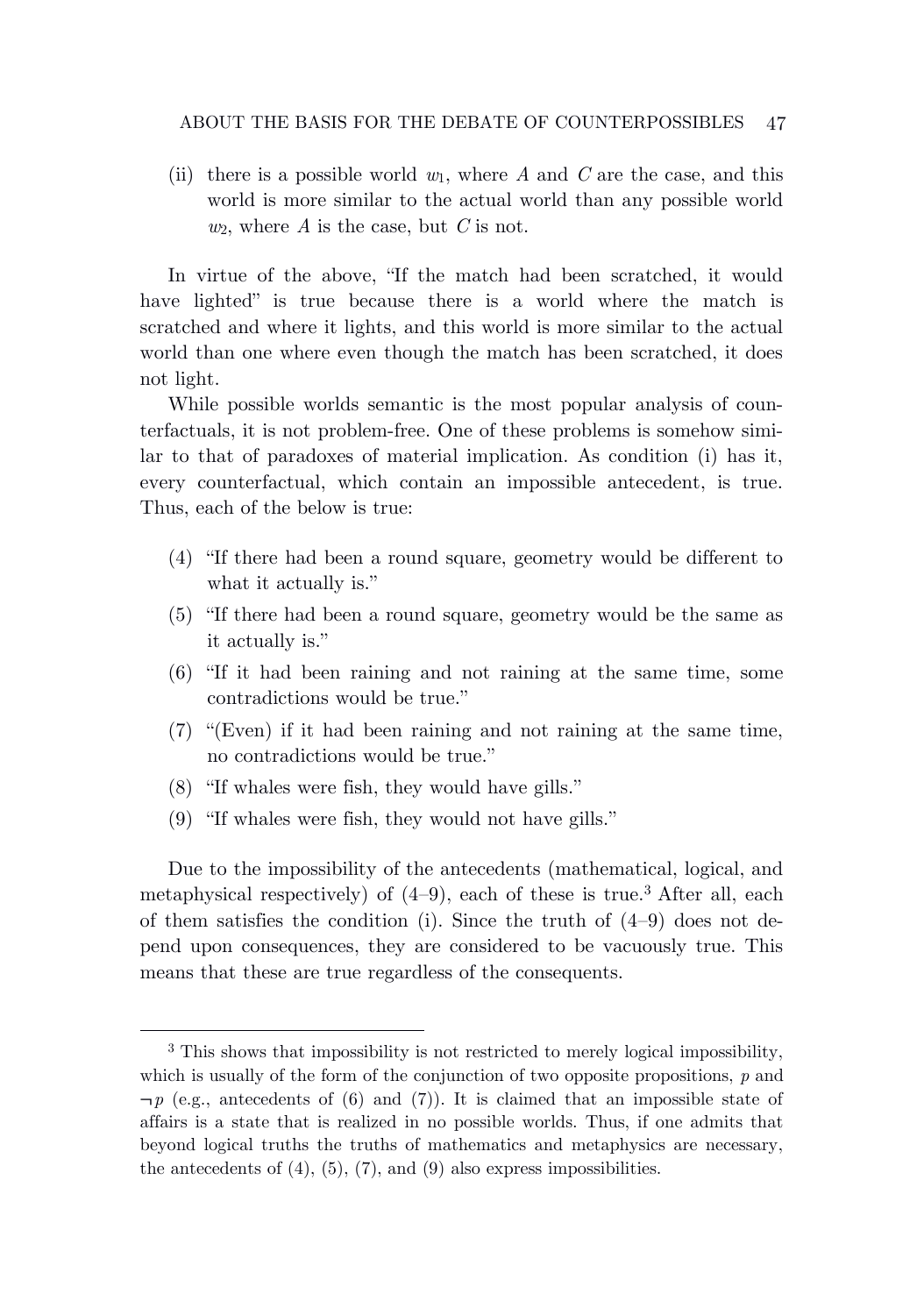(ii) there is a possible world  $w_1$ , where A and C are the case, and this world is more similar to the actual world than any possible world  $w_2$ , where *A* is the case, but *C* is not.

In virtue of the above, "If the match had been scratched, it would have lighted" is true because there is a world where the match is scratched and where it lights, and this world is more similar to the actual world than one where even though the match has been scratched, it does not light.

While possible worlds semantic is the most popular analysis of counterfactuals, it is not problem-free. One of these problems is somehow similar to that of paradoxes of material implication. As condition (i) has it, every counterfactual, which contain an impossible antecedent, is true. Thus, each of the below is true:

- (4) "If there had been a round square, geometry would be different to what it actually is."
- (5) "If there had been a round square, geometry would be the same as it actually is."
- (6) "If it had been raining and not raining at the same time, some contradictions would be true."
- (7) "(Even) if it had been raining and not raining at the same time, no contradictions would be true."
- (8) "If whales were fish, they would have gills."
- (9) "If whales were fish, they would not have gills."

Due to the impossibility of the antecedents (mathematical, logical, and metaphysical respectively) of  $(4-9)$ , each of these is true.<sup>3</sup> After all, each of them satisfies the condition (i). Since the truth of  $(4-9)$  does not depend upon consequences, they are considered to be vacuously true. This means that these are true regardless of the consequents.

<sup>3</sup> This shows that impossibility is not restricted to merely logical impossibility, which is usually of the form of the conjunction of two opposite propositions, *p* and  $\neg p$  (e.g., antecedents of (6) and (7)). It is claimed that an impossible state of affairs is a state that is realized in no possible worlds. Thus, if one admits that beyond logical truths the truths of mathematics and metaphysics are necessary, the antecedents of  $(4)$ ,  $(5)$ ,  $(7)$ , and  $(9)$  also express impossibilities.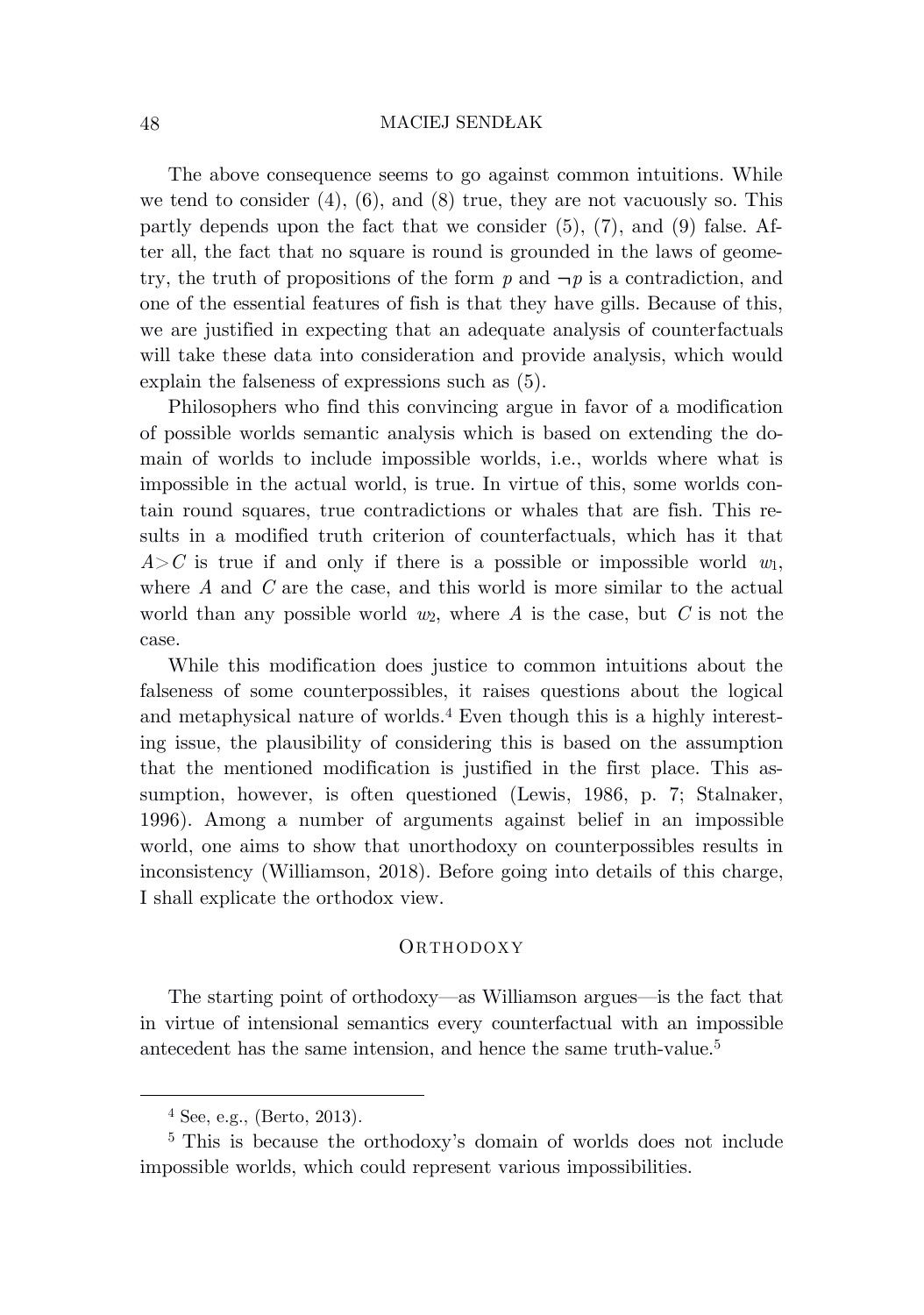The above consequence seems to go against common intuitions. While we tend to consider  $(4)$ ,  $(6)$ , and  $(8)$  true, they are not vacuously so. This partly depends upon the fact that we consider  $(5)$ ,  $(7)$ , and  $(9)$  false. After all, the fact that no square is round is grounded in the laws of geometry, the truth of propositions of the form  $p$  and  $\neg p$  is a contradiction, and one of the essential features of fish is that they have gills. Because of this, we are justified in expecting that an adequate analysis of counterfactuals will take these data into consideration and provide analysis, which would explain the falseness of expressions such as (5).

Philosophers who find this convincing argue in favor of a modification of possible worlds semantic analysis which is based on extending the domain of worlds to include impossible worlds, i.e., worlds where what is impossible in the actual world, is true. In virtue of this, some worlds contain round squares, true contradictions or whales that are fish. This results in a modified truth criterion of counterfactuals, which has it that  $A > C$  is true if and only if there is a possible or impossible world  $w_1$ , where *A* and *C* are the case, and this world is more similar to the actual world than any possible world *w*2, where *A* is the case, but *C* is not the case.

While this modification does justice to common intuitions about the falseness of some counterpossibles, it raises questions about the logical and metaphysical nature of worlds.<sup>4</sup> Even though this is a highly interesting issue, the plausibility of considering this is based on the assumption that the mentioned modification is justified in the first place. This assumption, however, is often questioned (Lewis, 1986, p. 7; Stalnaker, 1996). Among a number of arguments against belief in an impossible world, one aims to show that unorthodoxy on counterpossibles results in inconsistency (Williamson, 2018). Before going into details of this charge, I shall explicate the orthodox view.

## **ORTHODOXY**

The starting point of orthodoxy—as Williamson argues—is the fact that in virtue of intensional semantics every counterfactual with an impossible antecedent has the same intension, and hence the same truth-value.<sup>5</sup>

<sup>4</sup> See, e.g., (Berto, 2013).

<sup>5</sup> This is because the orthodoxy's domain of worlds does not include impossible worlds, which could represent various impossibilities.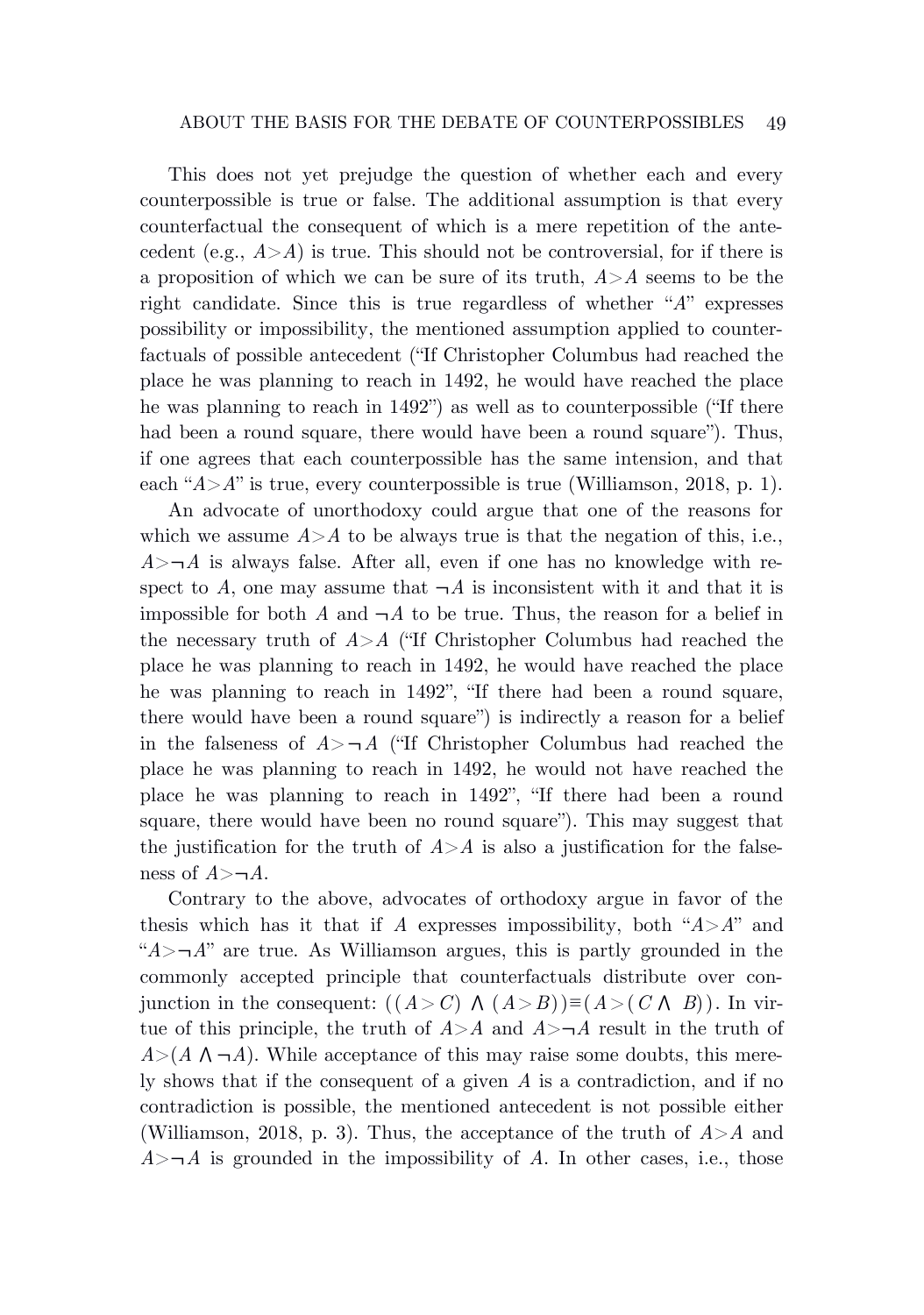This does not yet prejudge the question of whether each and every counterpossible is true or false. The additional assumption is that every counterfactual the consequent of which is a mere repetition of the antecedent (e.g.,  $A > A$ ) is true. This should not be controversial, for if there is a proposition of which we can be sure of its truth, *A*>*A* seems to be the right candidate. Since this is true regardless of whether "*A*" expresses possibility or impossibility, the mentioned assumption applied to counterfactuals of possible antecedent ("If Christopher Columbus had reached the place he was planning to reach in 1492, he would have reached the place he was planning to reach in 1492") as well as to counterpossible ("If there had been a round square, there would have been a round square"). Thus, if one agrees that each counterpossible has the same intension, and that each "*A*>*A*" is true, every counterpossible is true (Williamson, 2018, p. 1).

An advocate of unorthodoxy could argue that one of the reasons for which we assume  $A > A$  to be always true is that the negation of this, i.e.,  $A > \neg A$  is always false. After all, even if one has no knowledge with respect to  $\tilde{A}$ , one may assume that  $\neg \tilde{A}$  is inconsistent with it and that it is impossible for both *A* and  $\neg A$  to be true. Thus, the reason for a belief in the necessary truth of  $A > A$  ("If Christopher Columbus had reached the place he was planning to reach in 1492, he would have reached the place he was planning to reach in 1492", "If there had been a round square, there would have been a round square") is indirectly a reason for a belief in the falseness of  $A > \neg A$  ("If Christopher Columbus had reached the place he was planning to reach in 1492, he would not have reached the place he was planning to reach in 1492", "If there had been a round square, there would have been no round square"). This may suggest that the justification for the truth of  $A > A$  is also a justification for the falseness of  $A \geq -A$ .

Contrary to the above, advocates of orthodoxy argue in favor of the thesis which has it that if *A* expresses impossibility, both " $A > A$ " and " $A > \neg A$ " are true. As Williamson argues, this is partly grounded in the commonly accepted principle that counterfactuals distribute over conjunction in the consequent:  $((A > C) \land (A > B)) \equiv (A > (C \land B))$ . In virtue of this principle, the truth of  $A > A$  and  $A > \neg A$  result in the truth of  $A > (A \land \neg A)$ . While acceptance of this may raise some doubts, this merely shows that if the consequent of a given *A* is a contradiction, and if no contradiction is possible, the mentioned antecedent is not possible either (Williamson, 2018, p. 3). Thus, the acceptance of the truth of *A*>*A* and  $A > \neg A$  is grounded in the impossibility of *A*. In other cases, i.e., those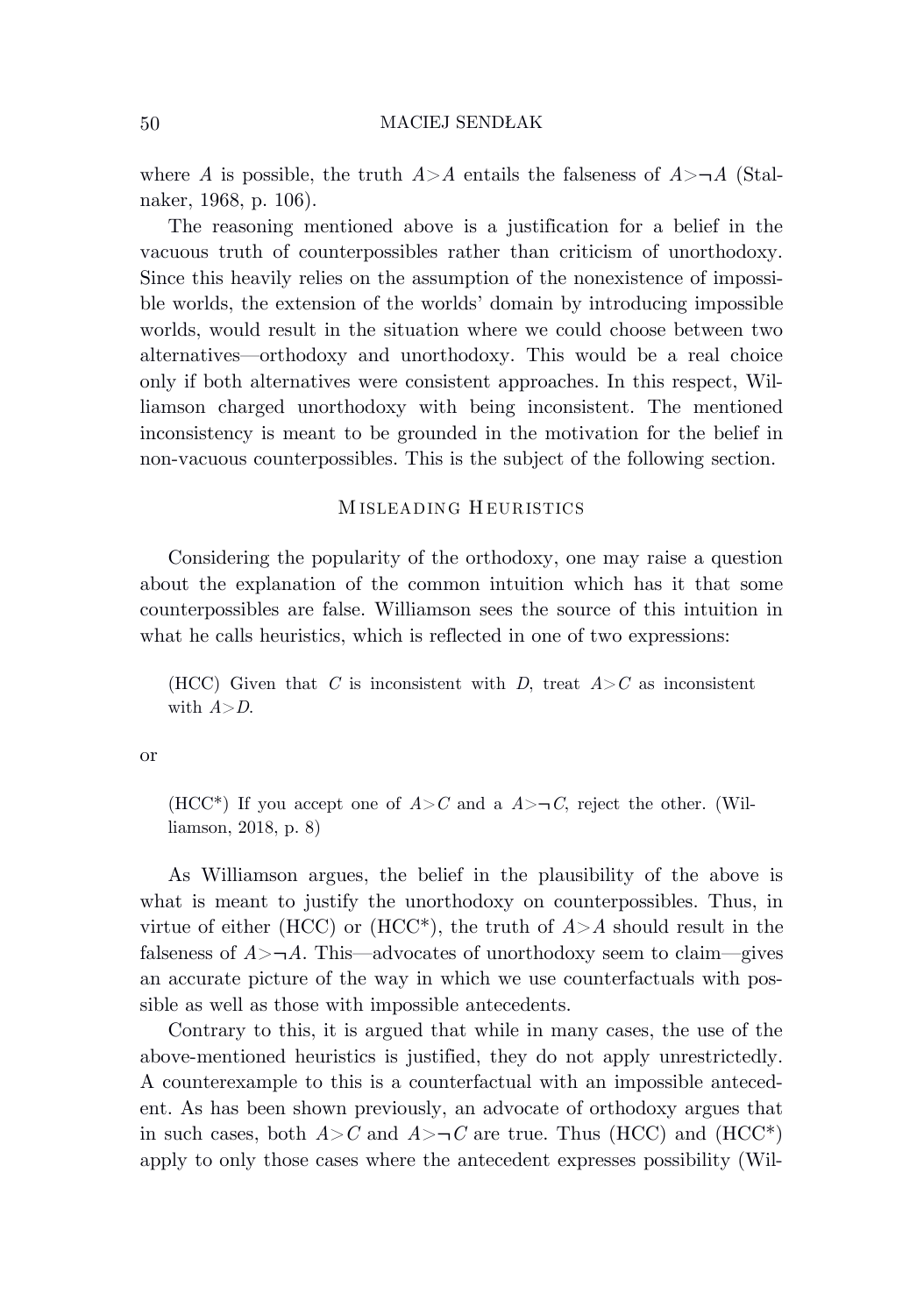where *A* is possible, the truth  $A > A$  entails the falseness of  $A > \neg A$  (Stalnaker, 1968, p. 106).

The reasoning mentioned above is a justification for a belief in the vacuous truth of counterpossibles rather than criticism of unorthodoxy. Since this heavily relies on the assumption of the nonexistence of impossible worlds, the extension of the worlds' domain by introducing impossible worlds, would result in the situation where we could choose between two alternatives—orthodoxy and unorthodoxy. This would be a real choice only if both alternatives were consistent approaches. In this respect, Williamson charged unorthodoxy with being inconsistent. The mentioned inconsistency is meant to be grounded in the motivation for the belief in non-vacuous counterpossibles. This is the subject of the following section.

## MISLEADING HEURISTICS

Considering the popularity of the orthodoxy, one may raise a question about the explanation of the common intuition which has it that some counterpossibles are false. Williamson sees the source of this intuition in what he calls heuristics, which is reflected in one of two expressions:

(HCC) Given that *C* is inconsistent with *D*, treat  $A > C$  as inconsistent with *A*>*D*.

or

(HCC<sup>\*</sup>) If you accept one of  $A > C$  and a  $A > \neg C$ , reject the other. (Williamson, 2018, p. 8)

As Williamson argues, the belief in the plausibility of the above is what is meant to justify the unorthodoxy on counterpossibles. Thus, in virtue of either (HCC) or (HCC<sup>\*</sup>), the truth of  $A > A$  should result in the falseness of  $A > \neg A$ . This—advocates of unorthodoxy seem to claim—gives an accurate picture of the way in which we use counterfactuals with possible as well as those with impossible antecedents.

Contrary to this, it is argued that while in many cases, the use of the above-mentioned heuristics is justified, they do not apply unrestrictedly. A counterexample to this is a counterfactual with an impossible antecedent. As has been shown previously, an advocate of orthodoxy argues that in such cases, both  $A > C$  and  $A > \neg C$  are true. Thus (HCC) and (HCC\*) apply to only those cases where the antecedent expresses possibility (Wil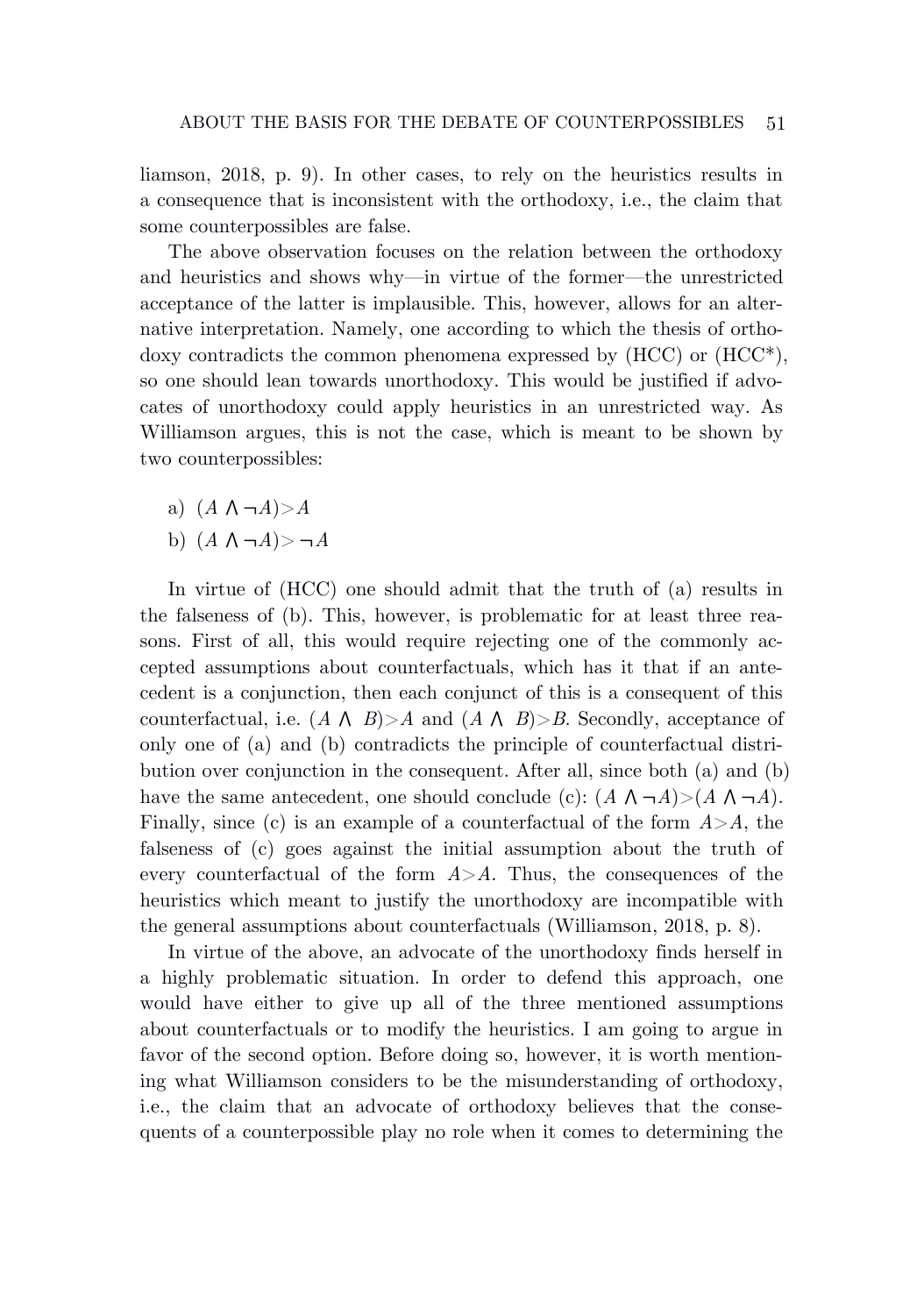liamson, 2018, p. 9). In other cases, to rely on the heuristics results in a consequence that is inconsistent with the orthodoxy, i.e., the claim that some counterpossibles are false.

The above observation focuses on the relation between the orthodoxy and heuristics and shows why—in virtue of the former—the unrestricted acceptance of the latter is implausible. This, however, allows for an alternative interpretation. Namely, one according to which the thesis of orthodoxy contradicts the common phenomena expressed by  $(HCC)$  or  $(HCC^*),$ so one should lean towards unorthodoxy. This would be justified if advocates of unorthodoxy could apply heuristics in an unrestricted way. As Williamson argues, this is not the case, which is meant to be shown by two counterpossibles:

- a)  $(A \land \neg A) > A$
- b)  $(A \land \neg A) > \neg A$

In virtue of (HCC) one should admit that the truth of (a) results in the falseness of (b). This, however, is problematic for at least three reasons. First of all, this would require rejecting one of the commonly accepted assumptions about counterfactuals, which has it that if an antecedent is a conjunction, then each conjunct of this is a consequent of this counterfactual, i.e.  $(A \land B) > A$  and  $(A \land B) > B$ . Secondly, acceptance of only one of (a) and (b) contradicts the principle of counterfactual distribution over conjunction in the consequent. After all, since both (a) and (b) have the same antecedent, one should conclude (c):  $(A \land \neg A) > (A \land \neg A)$ . Finally, since (c) is an example of a counterfactual of the form *A*>*A*, the falseness of (c) goes against the initial assumption about the truth of every counterfactual of the form  $A > A$ . Thus, the consequences of the heuristics which meant to justify the unorthodoxy are incompatible with the general assumptions about counterfactuals (Williamson, 2018, p. 8).

In virtue of the above, an advocate of the unorthodoxy finds herself in a highly problematic situation. In order to defend this approach, one would have either to give up all of the three mentioned assumptions about counterfactuals or to modify the heuristics. I am going to argue in favor of the second option. Before doing so, however, it is worth mentioning what Williamson considers to be the misunderstanding of orthodoxy, i.e., the claim that an advocate of orthodoxy believes that the consequents of a counterpossible play no role when it comes to determining the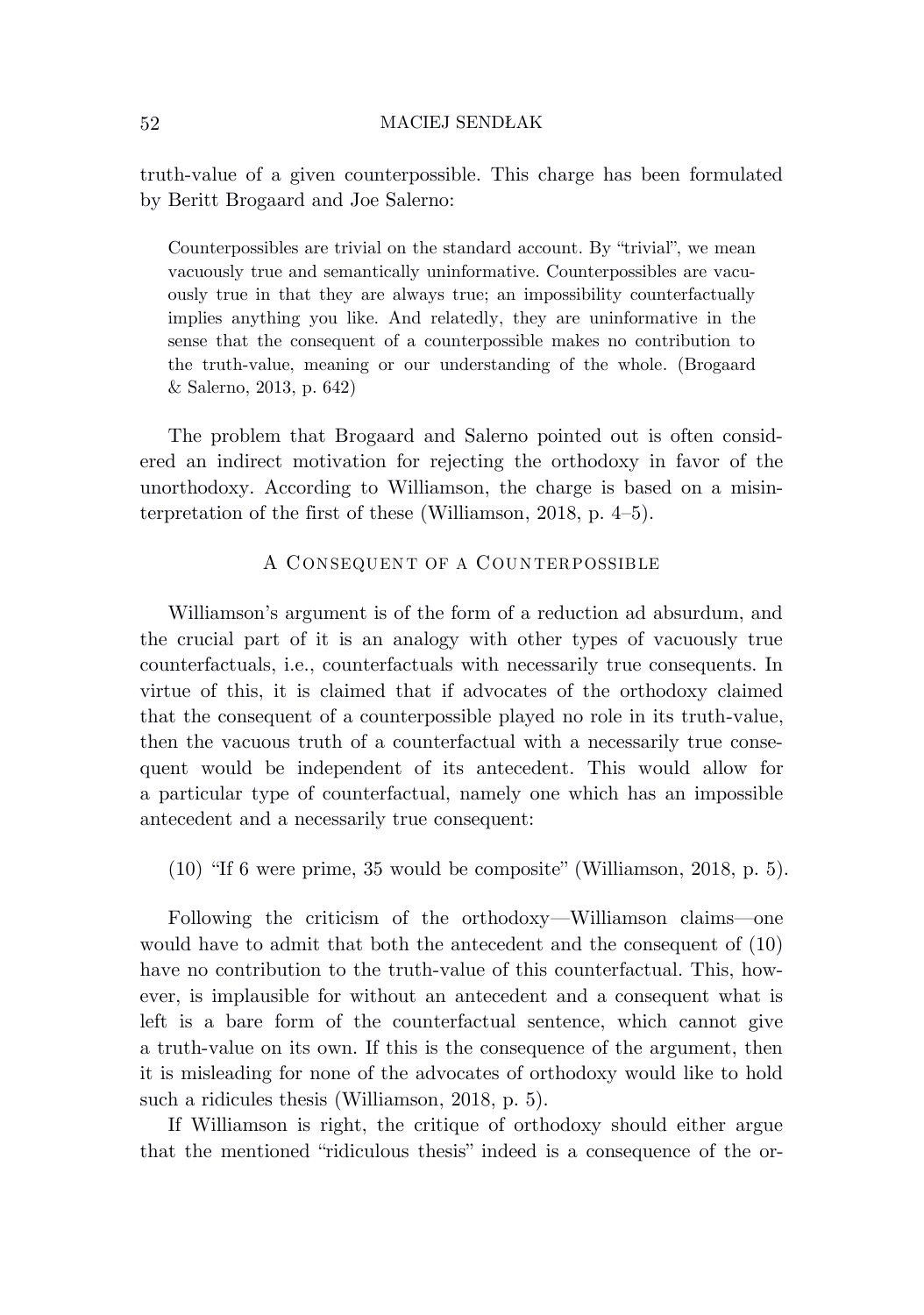truth-value of a given counterpossible. This charge has been formulated by Beritt Brogaard and Joe Salerno:

Counterpossibles are trivial on the standard account. By "trivial", we mean vacuously true and semantically uninformative. Counterpossibles are vacuously true in that they are always true; an impossibility counterfactually implies anything you like. And relatedly, they are uninformative in the sense that the consequent of a counterpossible makes no contribution to the truth-value, meaning or our understanding of the whole. (Brogaard & Salerno, 2013, p. 642)

The problem that Brogaard and Salerno pointed out is often considered an indirect motivation for rejecting the orthodoxy in favor of the unorthodoxy. According to Williamson, the charge is based on a misinterpretation of the first of these (Williamson, 2018, p. 4–5).

## A CONSEQUENT OF A COUNTERPOSSIBLE

Williamson's argument is of the form of a reduction ad absurdum, and the crucial part of it is an analogy with other types of vacuously true counterfactuals, i.e., counterfactuals with necessarily true consequents. In virtue of this, it is claimed that if advocates of the orthodoxy claimed that the consequent of a counterpossible played no role in its truth-value, then the vacuous truth of a counterfactual with a necessarily true consequent would be independent of its antecedent. This would allow for a particular type of counterfactual, namely one which has an impossible antecedent and a necessarily true consequent:

(10) "If 6 were prime, 35 would be composite" (Williamson, 2018, p. 5).

Following the criticism of the orthodoxy—Williamson claims—one would have to admit that both the antecedent and the consequent of (10) have no contribution to the truth-value of this counterfactual. This, however, is implausible for without an antecedent and a consequent what is left is a bare form of the counterfactual sentence, which cannot give a truth-value on its own. If this is the consequence of the argument, then it is misleading for none of the advocates of orthodoxy would like to hold such a ridicules thesis (Williamson, 2018, p. 5).

If Williamson is right, the critique of orthodoxy should either argue that the mentioned "ridiculous thesis" indeed is a consequence of the or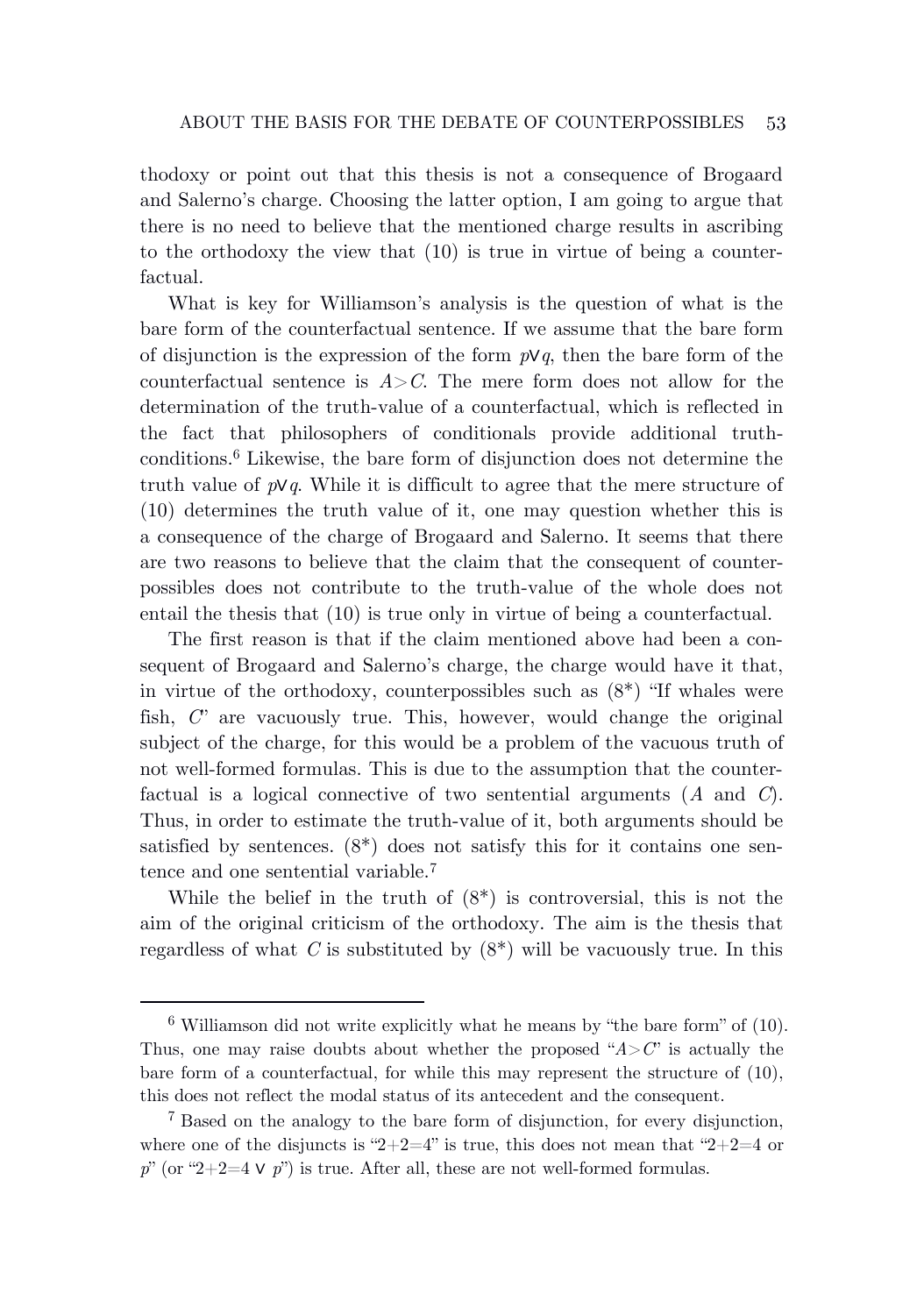thodoxy or point out that this thesis is not a consequence of Brogaard and Salerno's charge. Choosing the latter option, I am going to argue that there is no need to believe that the mentioned charge results in ascribing to the orthodoxy the view that (10) is true in virtue of being a counterfactual.

What is key for Williamson's analysis is the question of what is the bare form of the counterfactual sentence. If we assume that the bare form of disjunction is the expression of the form *p*∨*q*, then the bare form of the counterfactual sentence is  $A > C$ . The mere form does not allow for the determination of the truth-value of a counterfactual, which is reflected in the fact that philosophers of conditionals provide additional truthconditions.<sup>6</sup> Likewise, the bare form of disjunction does not determine the truth value of *p*∨*q*. While it is difficult to agree that the mere structure of (10) determines the truth value of it, one may question whether this is a consequence of the charge of Brogaard and Salerno. It seems that there are two reasons to believe that the claim that the consequent of counterpossibles does not contribute to the truth-value of the whole does not entail the thesis that (10) is true only in virtue of being a counterfactual.

The first reason is that if the claim mentioned above had been a consequent of Brogaard and Salerno's charge, the charge would have it that, in virtue of the orthodoxy, counterpossibles such as  $(8^*)$  "If whales were fish, *C*" are vacuously true. This, however, would change the original subject of the charge, for this would be a problem of the vacuous truth of not well-formed formulas. This is due to the assumption that the counterfactual is a logical connective of two sentential arguments (*A* and *C*). Thus, in order to estimate the truth-value of it, both arguments should be satisfied by sentences. (8\*) does not satisfy this for it contains one sentence and one sentential variable.<sup>7</sup>

While the belief in the truth of  $(8^*)$  is controversial, this is not the aim of the original criticism of the orthodoxy. The aim is the thesis that regardless of what  $C$  is substituted by  $(8^*)$  will be vacuously true. In this

 $6$  Williamson did not write explicitly what he means by "the bare form" of (10). Thus, one may raise doubts about whether the proposed " $A > C$ " is actually the bare form of a counterfactual, for while this may represent the structure of (10), this does not reflect the modal status of its antecedent and the consequent.

<sup>7</sup> Based on the analogy to the bare form of disjunction, for every disjunction, where one of the disjuncts is "2+2=4" is true, this does not mean that "2+2=4 or  $p^{\prime\prime}$  (or "2+2=4  $\vee$   $p^{\prime\prime}$ ) is true. After all, these are not well-formed formulas.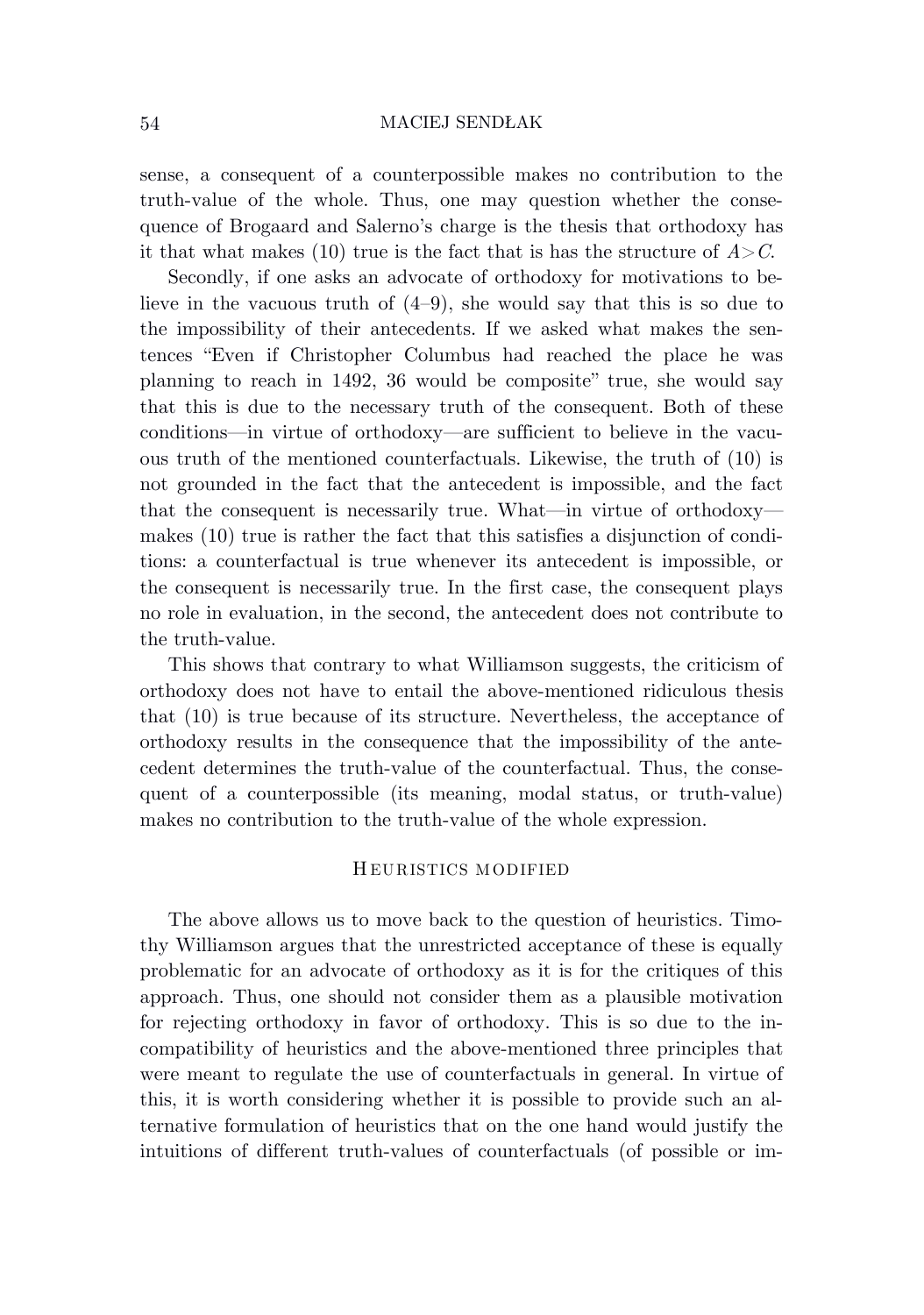sense, a consequent of a counterpossible makes no contribution to the truth-value of the whole. Thus, one may question whether the consequence of Brogaard and Salerno's charge is the thesis that orthodoxy has it that what makes (10) true is the fact that is has the structure of  $A > C$ .

Secondly, if one asks an advocate of orthodoxy for motivations to believe in the vacuous truth of  $(4-9)$ , she would say that this is so due to the impossibility of their antecedents. If we asked what makes the sentences "Even if Christopher Columbus had reached the place he was planning to reach in 1492, 36 would be composite" true, she would say that this is due to the necessary truth of the consequent. Both of these conditions—in virtue of orthodoxy—are sufficient to believe in the vacuous truth of the mentioned counterfactuals. Likewise, the truth of (10) is not grounded in the fact that the antecedent is impossible, and the fact that the consequent is necessarily true. What—in virtue of orthodoxy makes (10) true is rather the fact that this satisfies a disjunction of conditions: a counterfactual is true whenever its antecedent is impossible, or the consequent is necessarily true. In the first case, the consequent plays no role in evaluation, in the second, the antecedent does not contribute to the truth-value.

This shows that contrary to what Williamson suggests, the criticism of orthodoxy does not have to entail the above-mentioned ridiculous thesis that (10) is true because of its structure. Nevertheless, the acceptance of orthodoxy results in the consequence that the impossibility of the antecedent determines the truth-value of the counterfactual. Thus, the consequent of a counterpossible (its meaning, modal status, or truth-value) makes no contribution to the truth-value of the whole expression.

## H EURISTICS MODIFIED

The above allows us to move back to the question of heuristics. Timothy Williamson argues that the unrestricted acceptance of these is equally problematic for an advocate of orthodoxy as it is for the critiques of this approach. Thus, one should not consider them as a plausible motivation for rejecting orthodoxy in favor of orthodoxy. This is so due to the incompatibility of heuristics and the above-mentioned three principles that were meant to regulate the use of counterfactuals in general. In virtue of this, it is worth considering whether it is possible to provide such an alternative formulation of heuristics that on the one hand would justify the intuitions of different truth-values of counterfactuals (of possible or im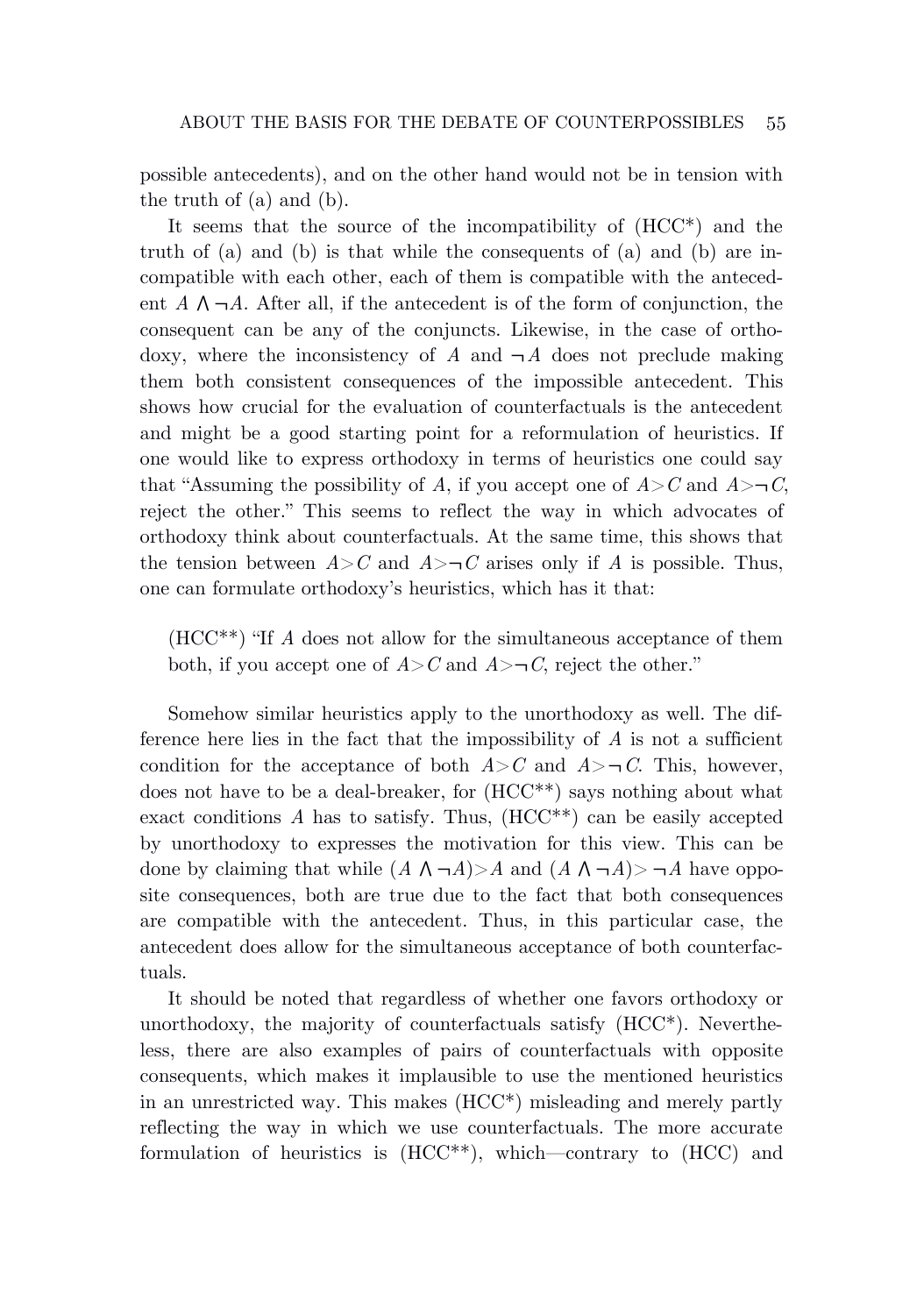possible antecedents), and on the other hand would not be in tension with the truth of (a) and (b).

It seems that the source of the incompatibility of (HCC\*) and the truth of (a) and (b) is that while the consequents of (a) and (b) are incompatible with each other, each of them is compatible with the antecedent  $A \wedge \neg A$ . After all, if the antecedent is of the form of conjunction, the consequent can be any of the conjuncts. Likewise, in the case of orthodoxy, where the inconsistency of  $\ddot{A}$  and  $\neg A$  does not preclude making them both consistent consequences of the impossible antecedent. This shows how crucial for the evaluation of counterfactuals is the antecedent and might be a good starting point for a reformulation of heuristics. If one would like to express orthodoxy in terms of heuristics one could say that "Assuming the possibility of *A*, if you accept one of  $A > C$  and  $A > \neg C$ , reject the other." This seems to reflect the way in which advocates of orthodoxy think about counterfactuals. At the same time, this shows that the tension between  $A > C$  and  $A > \neg C$  arises only if *A* is possible. Thus, one can formulate orthodoxy's heuristics, which has it that:

(HCC\*\*) "If *A* does not allow for the simultaneous acceptance of them both, if you accept one of  $A > C$  and  $A > \neg C$ , reject the other."

Somehow similar heuristics apply to the unorthodoxy as well. The difference here lies in the fact that the impossibility of *A* is not a sufficient condition for the acceptance of both  $A > C$  and  $A > \neg C$ . This, however, does not have to be a deal-breaker, for (HCC\*\*) says nothing about what exact conditions  $\tilde{A}$  has to satisfy. Thus,  $(HCC^{**})$  can be easily accepted by unorthodoxy to expresses the motivation for this view. This can be done by claiming that while  $(A \land \neg A) > A$  and  $(A \land \neg A) > \neg A$  have opposite consequences, both are true due to the fact that both consequences are compatible with the antecedent. Thus, in this particular case, the antecedent does allow for the simultaneous acceptance of both counterfactuals.

It should be noted that regardless of whether one favors orthodoxy or unorthodoxy, the majority of counterfactuals satisfy (HCC\*). Nevertheless, there are also examples of pairs of counterfactuals with opposite consequents, which makes it implausible to use the mentioned heuristics in an unrestricted way. This makes (HCC\*) misleading and merely partly reflecting the way in which we use counterfactuals. The more accurate formulation of heuristics is (HCC\*\*), which—contrary to (HCC) and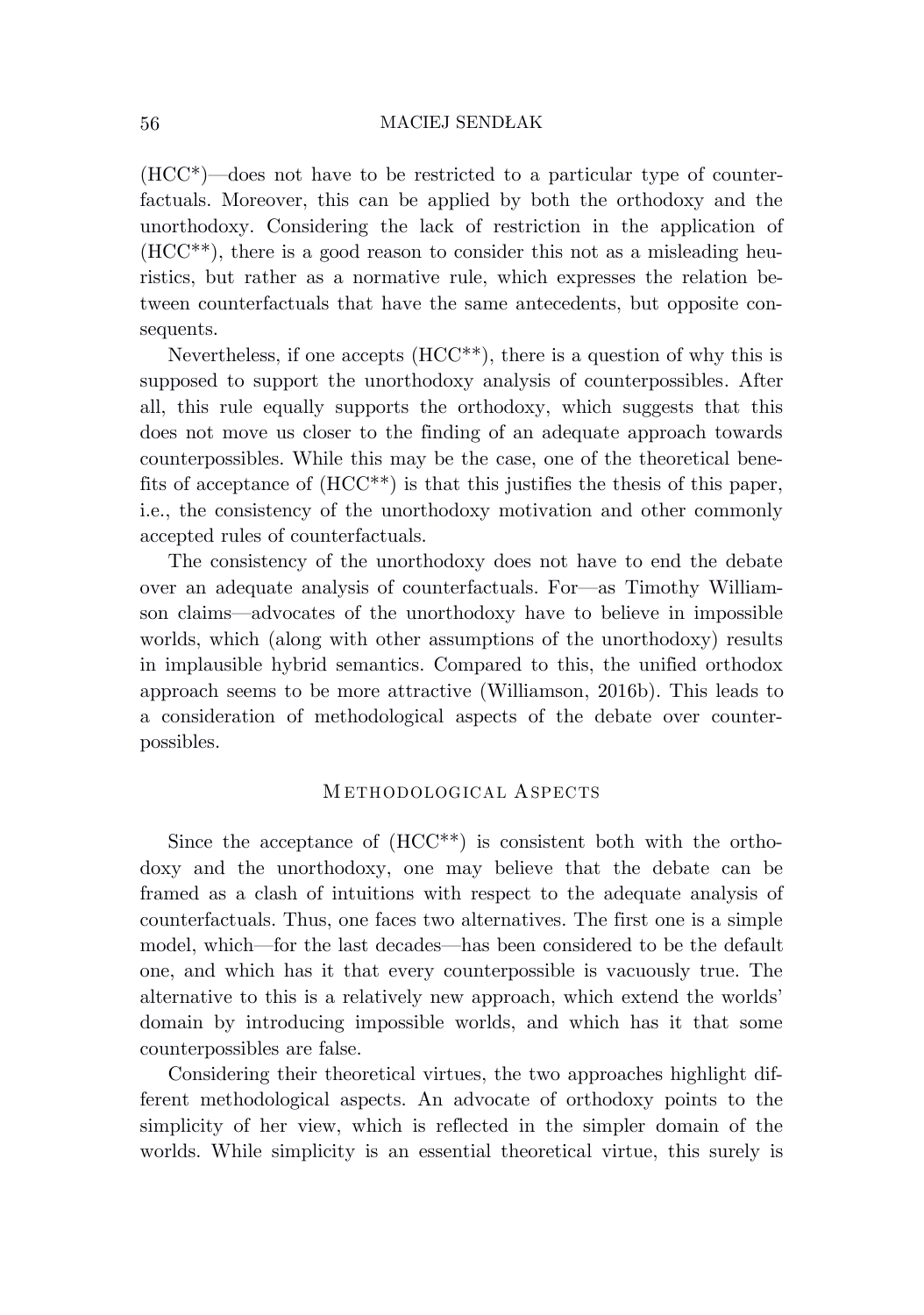(HCC\*)—does not have to be restricted to a particular type of counterfactuals. Moreover, this can be applied by both the orthodoxy and the unorthodoxy. Considering the lack of restriction in the application of (HCC\*\*), there is a good reason to consider this not as a misleading heuristics, but rather as a normative rule, which expresses the relation between counterfactuals that have the same antecedents, but opposite consequents.

Nevertheless, if one accepts (HCC\*\*), there is a question of why this is supposed to support the unorthodoxy analysis of counterpossibles. After all, this rule equally supports the orthodoxy, which suggests that this does not move us closer to the finding of an adequate approach towards counterpossibles. While this may be the case, one of the theoretical benefits of acceptance of  $(HCC^{**})$  is that this justifies the thesis of this paper, i.e., the consistency of the unorthodoxy motivation and other commonly accepted rules of counterfactuals.

The consistency of the unorthodoxy does not have to end the debate over an adequate analysis of counterfactuals. For—as Timothy Williamson claims—advocates of the unorthodoxy have to believe in impossible worlds, which (along with other assumptions of the unorthodoxy) results in implausible hybrid semantics. Compared to this, the unified orthodox approach seems to be more attractive (Williamson, 2016b). This leads to a consideration of methodological aspects of the debate over counterpossibles.

## M ETHODOLOGICAL ASPECTS

Since the acceptance of (HCC\*\*) is consistent both with the orthodoxy and the unorthodoxy, one may believe that the debate can be framed as a clash of intuitions with respect to the adequate analysis of counterfactuals. Thus, one faces two alternatives. The first one is a simple model, which—for the last decades—has been considered to be the default one, and which has it that every counterpossible is vacuously true. The alternative to this is a relatively new approach, which extend the worlds' domain by introducing impossible worlds, and which has it that some counterpossibles are false.

Considering their theoretical virtues, the two approaches highlight different methodological aspects. An advocate of orthodoxy points to the simplicity of her view, which is reflected in the simpler domain of the worlds. While simplicity is an essential theoretical virtue, this surely is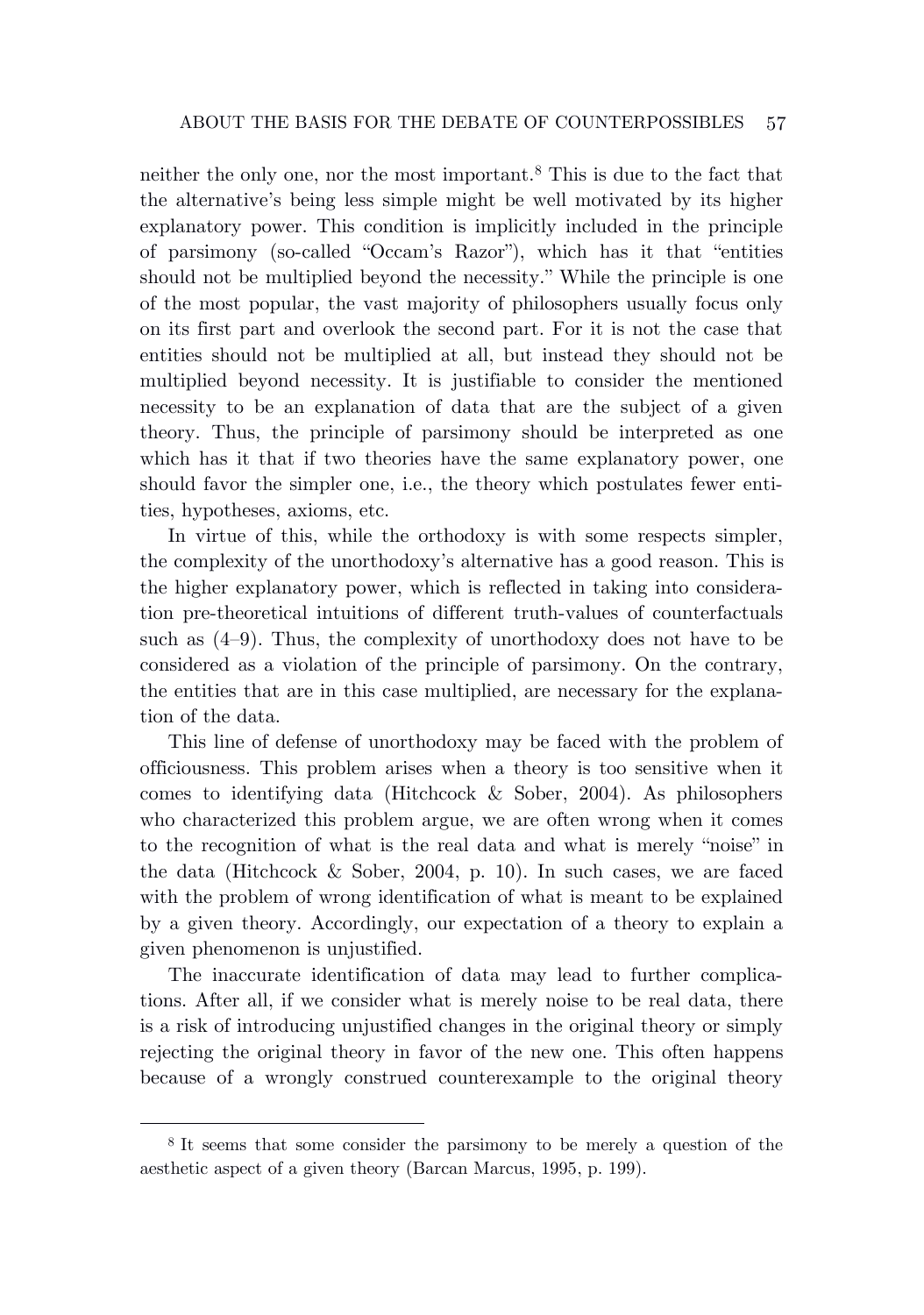neither the only one, nor the most important.<sup>8</sup> This is due to the fact that the alternative's being less simple might be well motivated by its higher explanatory power. This condition is implicitly included in the principle of parsimony (so-called "Occam's Razor"), which has it that "entities should not be multiplied beyond the necessity." While the principle is one of the most popular, the vast majority of philosophers usually focus only on its first part and overlook the second part. For it is not the case that entities should not be multiplied at all, but instead they should not be multiplied beyond necessity. It is justifiable to consider the mentioned necessity to be an explanation of data that are the subject of a given theory. Thus, the principle of parsimony should be interpreted as one which has it that if two theories have the same explanatory power, one should favor the simpler one, i.e., the theory which postulates fewer entities, hypotheses, axioms, etc.

In virtue of this, while the orthodoxy is with some respects simpler, the complexity of the unorthodoxy's alternative has a good reason. This is the higher explanatory power, which is reflected in taking into consideration pre-theoretical intuitions of different truth-values of counterfactuals such as  $(4-9)$ . Thus, the complexity of unorthodoxy does not have to be considered as a violation of the principle of parsimony. On the contrary, the entities that are in this case multiplied, are necessary for the explanation of the data.

This line of defense of unorthodoxy may be faced with the problem of officiousness. This problem arises when a theory is too sensitive when it comes to identifying data (Hitchcock & Sober, 2004). As philosophers who characterized this problem argue, we are often wrong when it comes to the recognition of what is the real data and what is merely "noise" in the data (Hitchcock  $\&$  Sober, 2004, p. 10). In such cases, we are faced with the problem of wrong identification of what is meant to be explained by a given theory. Accordingly, our expectation of a theory to explain a given phenomenon is unjustified.

The inaccurate identification of data may lead to further complications. After all, if we consider what is merely noise to be real data, there is a risk of introducing unjustified changes in the original theory or simply rejecting the original theory in favor of the new one. This often happens because of a wrongly construed counterexample to the original theory

<sup>8</sup> It seems that some consider the parsimony to be merely a question of the aesthetic aspect of a given theory (Barcan Marcus, 1995, p. 199).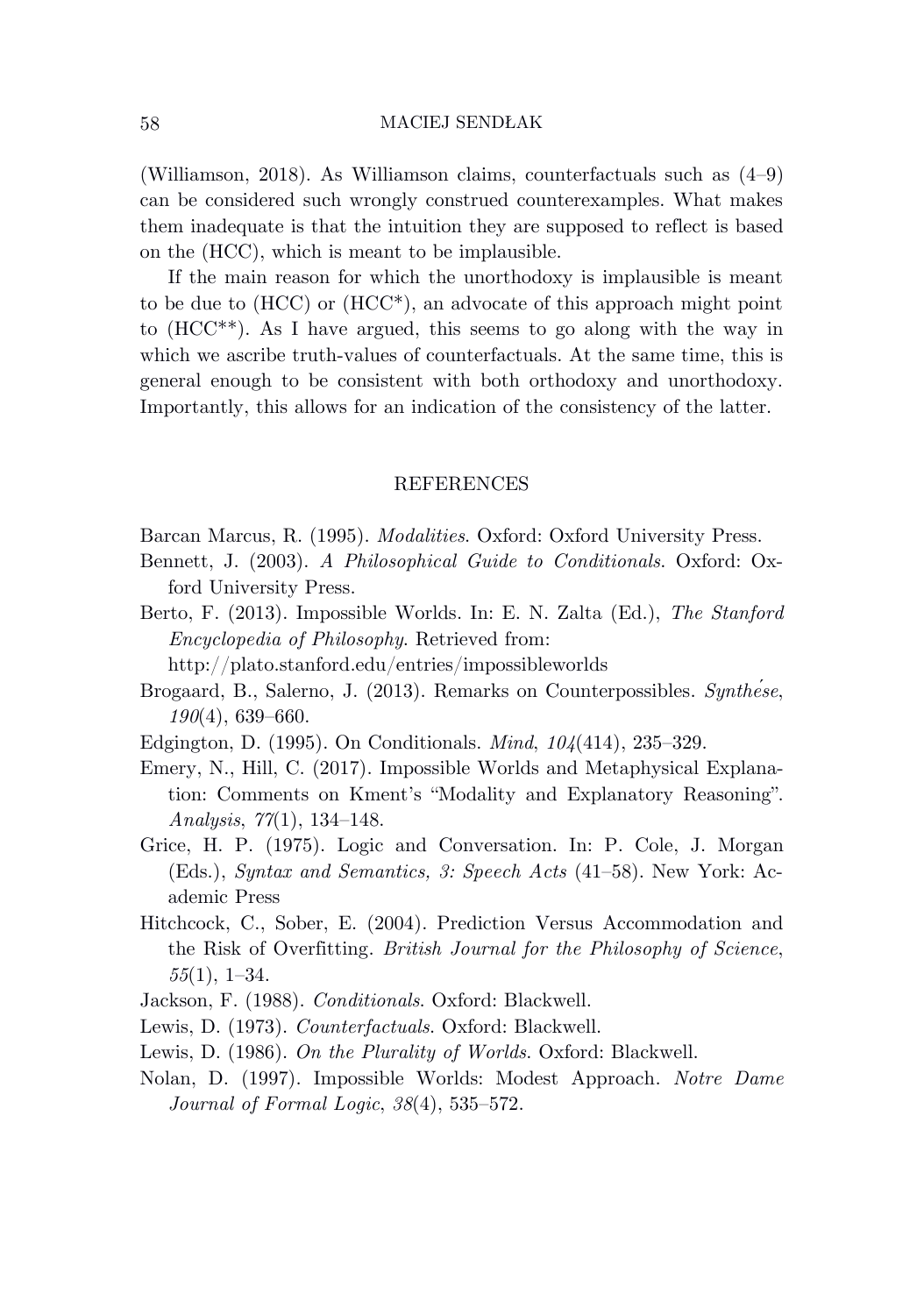(Williamson, 2018). As Williamson claims, counterfactuals such as (4–9) can be considered such wrongly construed counterexamples. What makes them inadequate is that the intuition they are supposed to reflect is based on the (HCC), which is meant to be implausible.

If the main reason for which the unorthodoxy is implausible is meant to be due to  $(HCC)$  or  $(HCC^*)$ , an advocate of this approach might point to (HCC\*\*). As I have argued, this seems to go along with the way in which we ascribe truth-values of counterfactuals. At the same time, this is general enough to be consistent with both orthodoxy and unorthodoxy. Importantly, this allows for an indication of the consistency of the latter.

## REFERENCES

Barcan Marcus, R. (1995). *Modalities*. Oxford: Oxford University Press.

- Bennett, J. (2003). *A Philosophical Guide to Conditionals*. Oxford: Oxford University Press.
- Berto, F. (2013). Impossible Worlds. In: E. N. Zalta (Ed.), *The Stanford Encyclopedia of Philosophy*. Retrieved from:

http://plato.stanford.edu/entries/impossibleworlds

- Brogaard, B., Salerno, J. (2013). Remarks on Counterpossibles. *Synthése*, *190*(4), 639–660.
- Edgington, D. (1995). On Conditionals. *Mind*, *104*(414), 235–329.
- Emery, N., Hill, C. (2017). Impossible Worlds and Metaphysical Explanation: Comments on Kment's "Modality and Explanatory Reasoning". *Analysis*, *77*(1), 134–148.
- Grice, H. P. (1975). Logic and Conversation. In: P. Cole, J. Morgan (Eds.), *Syntax and Semantics, 3: Speech Acts* (41–58). New York: Academic Press
- Hitchcock, C., Sober, E. (2004). Prediction Versus Accommodation and the Risk of Overfitting. *British Journal for the Philosophy of Science*, *55*(1), 1–34.
- Jackson, F. (1988). *Conditionals*. Oxford: Blackwell.
- Lewis, D. (1973). *Counterfactuals*. Oxford: Blackwell.
- Lewis, D. (1986). *On the Plurality of Worlds*. Oxford: Blackwell.
- Nolan, D. (1997). Impossible Worlds: Modest Approach. *Notre Dame Journal of Formal Logic*, *38*(4), 535–572.